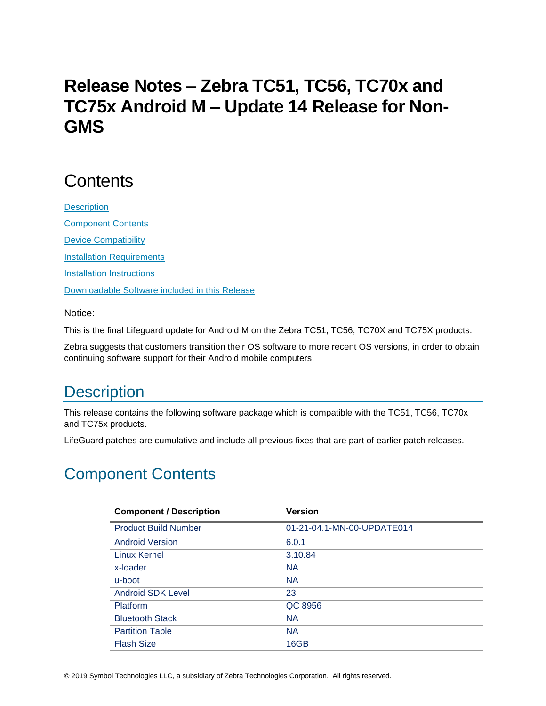## **Release Notes – Zebra TC51, TC56, TC70x and TC75x Android M – Update 14 Release for Non-GMS**

# **Contents**

**[Description](#page-0-0)** [Component Contents](#page-0-1) [Device Compatibility](#page-8-0) [Installation Requirements](#page-9-0) **[Installation Instructions](#page-9-1)** [Downloadable Software included in this Release](#page-10-0)

[Notice:](#page-10-0)

[This is the final Lifeguard update for Android M on the Zebra TC51, TC56, TC70X and TC75X products.](#page-10-0) 

[Zebra suggests that customers transition their OS software to more recent OS versions, in order to obtain](#page-10-0)  [continuing software support for their Android mobile computers.](#page-10-0)

## <span id="page-0-0"></span>**Description**

This release contains the following software package which is compatible with the TC51, TC56, TC70x and TC75x products.

LifeGuard patches are cumulative and include all previous fixes that are part of earlier patch releases.

### <span id="page-0-1"></span>Component Contents

| <b>Component / Description</b> | <b>Version</b>             |
|--------------------------------|----------------------------|
| <b>Product Build Number</b>    | 01-21-04.1-MN-00-UPDATE014 |
| <b>Android Version</b>         | 6.0.1                      |
| <b>Linux Kernel</b>            | 3.10.84                    |
| x-loader                       | <b>NA</b>                  |
| u-boot                         | <b>NA</b>                  |
| <b>Android SDK Level</b>       | 23                         |
| Platform                       | QC 8956                    |
| <b>Bluetooth Stack</b>         | <b>NA</b>                  |
| <b>Partition Table</b>         | <b>NA</b>                  |
| <b>Flash Size</b>              | 16GB                       |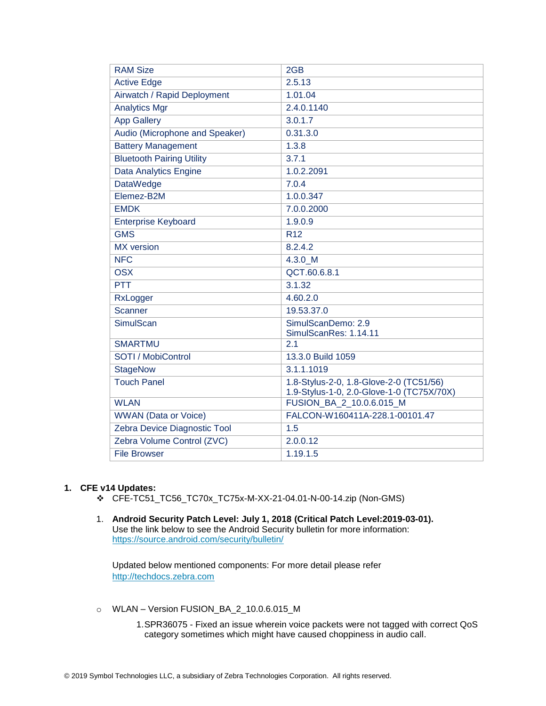| <b>RAM Size</b>                  | 2GB                                                                   |
|----------------------------------|-----------------------------------------------------------------------|
| <b>Active Edge</b>               | 2.5.13                                                                |
| Airwatch / Rapid Deployment      | 1.01.04                                                               |
| <b>Analytics Mgr</b>             | 2.4.0.1140                                                            |
| <b>App Gallery</b>               | 3.0.1.7                                                               |
| Audio (Microphone and Speaker)   | 0.31.3.0                                                              |
| <b>Battery Management</b>        | 1.3.8                                                                 |
| <b>Bluetooth Pairing Utility</b> | 3.7.1                                                                 |
| <b>Data Analytics Engine</b>     | 1.0.2.2091                                                            |
| <b>DataWedge</b>                 | 7.0.4                                                                 |
| Elemez-B2M                       | 1.0.0.347                                                             |
| <b>EMDK</b>                      | 7.0.0.2000                                                            |
| <b>Enterprise Keyboard</b>       | 1.9.0.9                                                               |
| <b>GMS</b>                       | R <sub>12</sub>                                                       |
| <b>MX</b> version                | 8.2.4.2                                                               |
| <b>NFC</b>                       | 4.3.0 M                                                               |
| <b>OSX</b>                       | QCT.60.6.8.1                                                          |
| <b>PTT</b>                       | 3.1.32                                                                |
| RxLogger                         | 4.60.2.0                                                              |
| Scanner                          | 19.53.37.0                                                            |
| <b>SimulScan</b>                 | SimulScanDemo: 2.9<br>SimulScanRes: 1.14.11                           |
| <b>SMARTMU</b>                   | 2.1                                                                   |
| SOTI / MobiControl               | 13.3.0 Build 1059                                                     |
| <b>StageNow</b>                  | 3.1.1.1019                                                            |
| <b>Touch Panel</b>               | 1.8-Stylus-2-0, 1.8-Glove-2-0 (TC51/56)                               |
| <b>WLAN</b>                      | 1.9-Stylus-1-0, 2.0-Glove-1-0 (TC75X/70X)<br>FUSION_BA_2_10.0.6.015_M |
| <b>WWAN</b> (Data or Voice)      | FALCON-W160411A-228.1-00101.47                                        |
| Zebra Device Diagnostic Tool     | 1.5                                                                   |
| Zebra Volume Control (ZVC)       | 2.0.0.12                                                              |
| <b>File Browser</b>              | 1.19.1.5                                                              |
|                                  |                                                                       |

#### **1. CFE v14 Updates:**

- ❖ CFE-TC51\_TC56\_TC70x\_TC75x-M-XX-21-04.01-N-00-14.zip (Non-GMS)
- 1. **Android Security Patch Level: July 1, 2018 (Critical Patch Level:2019-03-01).** Use the link below to see the Android Security bulletin for more information: <https://source.android.com/security/bulletin/>

Updated below mentioned components: For more detail please refer [http://techdocs.zebra.com](http://techdocs.zebra.com/)

- o WLAN Version FUSION\_BA\_2\_10.0.6.015\_M
	- 1.SPR36075 Fixed an issue wherein voice packets were not tagged with correct QoS category sometimes which might have caused choppiness in audio call.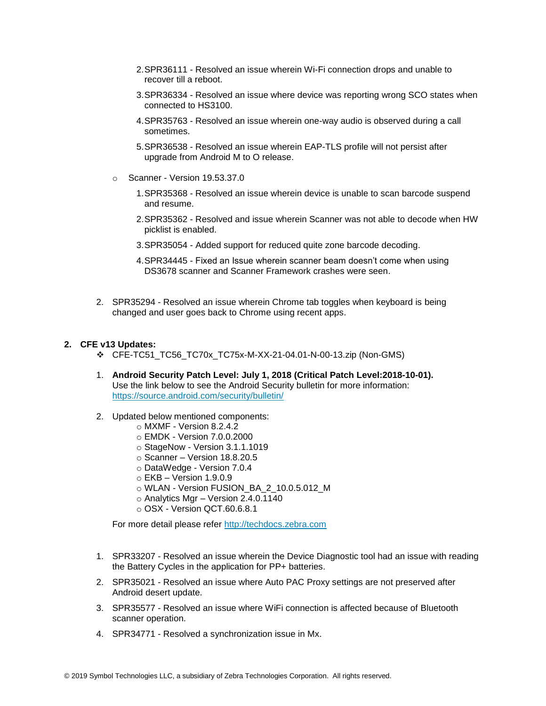- 2.SPR36111 Resolved an issue wherein Wi-Fi connection drops and unable to recover till a reboot.
- 3.SPR36334 Resolved an issue where device was reporting wrong SCO states when connected to HS3100.
- 4.SPR35763 Resolved an issue wherein one-way audio is observed during a call sometimes.
- 5.SPR36538 Resolved an issue wherein EAP-TLS profile will not persist after upgrade from Android M to O release.
- o Scanner Version 19.53.37.0
	- 1.SPR35368 Resolved an issue wherein device is unable to scan barcode suspend and resume.
	- 2.SPR35362 Resolved and issue wherein Scanner was not able to decode when HW picklist is enabled.
	- 3.SPR35054 Added support for reduced quite zone barcode decoding.
	- 4.SPR34445 Fixed an Issue wherein scanner beam doesn't come when using DS3678 scanner and Scanner Framework crashes were seen.
- 2. SPR35294 Resolved an issue wherein Chrome tab toggles when keyboard is being changed and user goes back to Chrome using recent apps.

#### **2. CFE v13 Updates:**

- ❖ CFE-TC51\_TC56\_TC70x\_TC75x-M-XX-21-04.01-N-00-13.zip (Non-GMS)
- 1. **Android Security Patch Level: July 1, 2018 (Critical Patch Level:2018-10-01).** Use the link below to see the Android Security bulletin for more information: <https://source.android.com/security/bulletin/>
- 2. Updated below mentioned components:
	- o MXMF Version 8.2.4.2
	- o EMDK Version 7.0.0.2000
	- o StageNow Version 3.1.1.1019
	- o Scanner Version 18.8.20.5
	- o DataWedge Version 7.0.4
	- $\circ$  EKB Version 1.9.0.9
	- o WLAN Version FUSION\_BA\_2\_10.0.5.012\_M
	- $\circ$  Analytics Mgr Version 2.4.0.1140
	- o OSX Version QCT.60.6.8.1

For more detail please refer [http://techdocs.zebra.com](http://techdocs.zebra.com/)

- 1. SPR33207 Resolved an issue wherein the Device Diagnostic tool had an issue with reading the Battery Cycles in the application for PP+ batteries.
- 2. SPR35021 Resolved an issue where Auto PAC Proxy settings are not preserved after Android desert update.
- 3. SPR35577 Resolved an issue where WiFi connection is affected because of Bluetooth scanner operation.
- 4. SPR34771 Resolved a synchronization issue in Mx.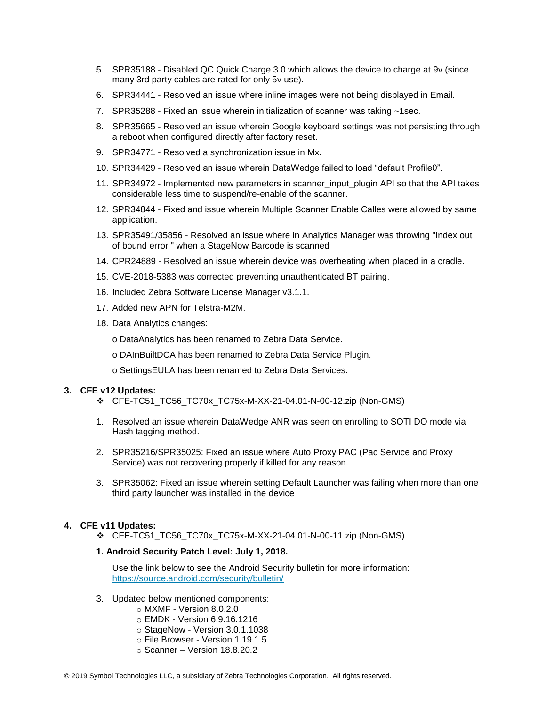- 5. SPR35188 Disabled QC Quick Charge 3.0 which allows the device to charge at 9v (since many 3rd party cables are rated for only 5v use).
- 6. SPR34441 Resolved an issue where inline images were not being displayed in Email.
- 7. SPR35288 Fixed an issue wherein initialization of scanner was taking ~1sec.
- 8. SPR35665 Resolved an issue wherein Google keyboard settings was not persisting through a reboot when configured directly after factory reset.
- 9. SPR34771 Resolved a synchronization issue in Mx.
- 10. SPR34429 Resolved an issue wherein DataWedge failed to load "default Profile0".
- 11. SPR34972 Implemented new parameters in scanner input plugin API so that the API takes considerable less time to suspend/re-enable of the scanner.
- 12. SPR34844 Fixed and issue wherein Multiple Scanner Enable Calles were allowed by same application.
- 13. SPR35491/35856 Resolved an issue where in Analytics Manager was throwing "Index out of bound error " when a StageNow Barcode is scanned
- 14. CPR24889 Resolved an issue wherein device was overheating when placed in a cradle.
- 15. CVE-2018-5383 was corrected preventing unauthenticated BT pairing.
- 16. Included Zebra Software License Manager v3.1.1.
- 17. Added new APN for Telstra-M2M.
- 18. Data Analytics changes:
	- o DataAnalytics has been renamed to Zebra Data Service.
	- o DAInBuiltDCA has been renamed to Zebra Data Service Plugin.
	- o SettingsEULA has been renamed to Zebra Data Services.

#### **3. CFE v12 Updates:**

- ❖ CFE-TC51\_TC56\_TC70x\_TC75x-M-XX-21-04.01-N-00-12.zip (Non-GMS)
- 1. Resolved an issue wherein DataWedge ANR was seen on enrolling to SOTI DO mode via Hash tagging method.
- 2. SPR35216/SPR35025: Fixed an issue where Auto Proxy PAC (Pac Service and Proxy Service) was not recovering properly if killed for any reason.
- 3. SPR35062: Fixed an issue wherein setting Default Launcher was failing when more than one third party launcher was installed in the device

#### **4. CFE v11 Updates:**

❖ CFE-TC51\_TC56\_TC70x\_TC75x-M-XX-21-04.01-N-00-11.zip (Non-GMS)

#### **1. Android Security Patch Level: July 1, 2018.**

Use the link below to see the Android Security bulletin for more information: <https://source.android.com/security/bulletin/>

- 3. Updated below mentioned components:
	- o MXMF Version 8.0.2.0
	- o EMDK Version 6.9.16.1216
	- o StageNow Version 3.0.1.1038
	- o File Browser Version 1.19.1.5
	- o Scanner Version 18.8.20.2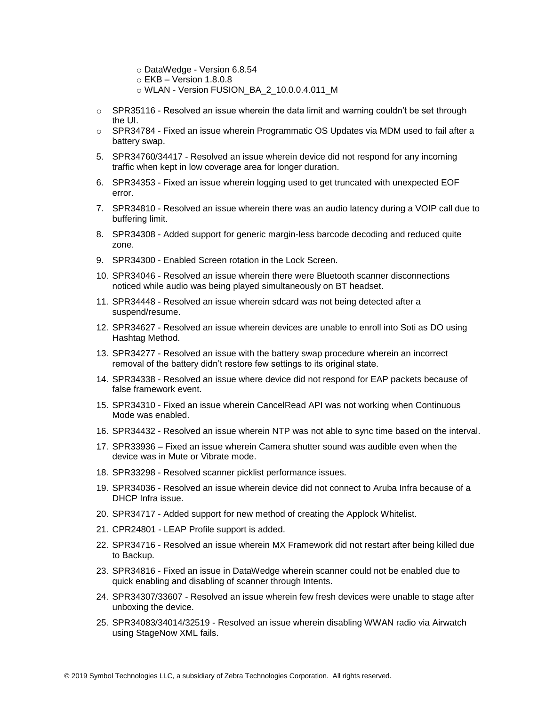- o DataWedge Version 6.8.54
- o EKB Version 1.8.0.8
- o WLAN Version FUSION\_BA\_2\_10.0.0.4.011\_M
- $\circ$  SPR35116 Resolved an issue wherein the data limit and warning couldn't be set through the UI.
- $\circ$  SPR34784 Fixed an issue wherein Programmatic OS Updates via MDM used to fail after a battery swap.
- 5. SPR34760/34417 Resolved an issue wherein device did not respond for any incoming traffic when kept in low coverage area for longer duration.
- 6. SPR34353 Fixed an issue wherein logging used to get truncated with unexpected EOF error.
- 7. SPR34810 Resolved an issue wherein there was an audio latency during a VOIP call due to buffering limit.
- 8. SPR34308 Added support for generic margin-less barcode decoding and reduced quite zone.
- 9. SPR34300 Enabled Screen rotation in the Lock Screen.
- 10. SPR34046 Resolved an issue wherein there were Bluetooth scanner disconnections noticed while audio was being played simultaneously on BT headset.
- 11. SPR34448 Resolved an issue wherein sdcard was not being detected after a suspend/resume.
- 12. SPR34627 Resolved an issue wherein devices are unable to enroll into Soti as DO using Hashtag Method.
- 13. SPR34277 Resolved an issue with the battery swap procedure wherein an incorrect removal of the battery didn't restore few settings to its original state.
- 14. SPR34338 Resolved an issue where device did not respond for EAP packets because of false framework event.
- 15. SPR34310 Fixed an issue wherein CancelRead API was not working when Continuous Mode was enabled.
- 16. SPR34432 Resolved an issue wherein NTP was not able to sync time based on the interval.
- 17. SPR33936 Fixed an issue wherein Camera shutter sound was audible even when the device was in Mute or Vibrate mode.
- 18. SPR33298 Resolved scanner picklist performance issues.
- 19. SPR34036 Resolved an issue wherein device did not connect to Aruba Infra because of a DHCP Infra issue.
- 20. SPR34717 Added support for new method of creating the Applock Whitelist.
- 21. CPR24801 LEAP Profile support is added.
- 22. SPR34716 Resolved an issue wherein MX Framework did not restart after being killed due to Backup.
- 23. SPR34816 Fixed an issue in DataWedge wherein scanner could not be enabled due to quick enabling and disabling of scanner through Intents.
- 24. SPR34307/33607 Resolved an issue wherein few fresh devices were unable to stage after unboxing the device.
- 25. SPR34083/34014/32519 Resolved an issue wherein disabling WWAN radio via Airwatch using StageNow XML fails.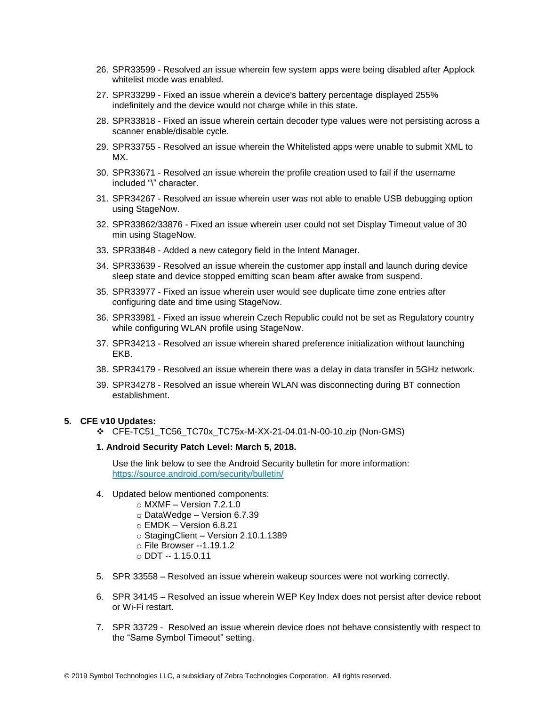- 26. SPR33599 Resolved an issue wherein few system apps were being disabled after Applock whitelist mode was enabled.
- 27. SPR33299 Fixed an issue wherein a device's battery percentage displayed 255% indefinitely and the device would not charge while in this state.
- 28. SPR33818 Fixed an issue wherein certain decoder type values were not persisting across a scanner enable/disable cycle.
- 29. SPR33755 Resolved an issue wherein the Whitelisted apps were unable to submit XML to MX.
- 30. SPR33671 Resolved an issue wherein the profile creation used to fail if the username included "\" character.
- 31. SPR34267 Resolved an issue wherein user was not able to enable USB debugging option using StageNow.
- 32. SPR33862/33876 Fixed an issue wherein user could not set Display Timeout value of 30 min using StageNow.
- 33. SPR33848 Added a new category field in the Intent Manager.
- 34. SPR33639 Resolved an issue wherein the customer app install and launch during device sleep state and device stopped emitting scan beam after awake from suspend.
- 35. SPR33977 Fixed an issue wherein user would see duplicate time zone entries after configuring date and time using StageNow.
- 36. SPR33981 Fixed an issue wherein Czech Republic could not be set as Regulatory country while configuring WLAN profile using StageNow.
- 37. SPR34213 Resolved an issue wherein shared preference initialization without launching EKB.
- 38. SPR34179 Resolved an issue wherein there was a delay in data transfer in 5GHz network.
- 39. SPR34278 Resolved an issue wherein WLAN was disconnecting during BT connection establishment.

#### **5. CFE v10 Updates:**

❖ CFE-TC51\_TC56\_TC70x\_TC75x-M-XX-21-04.01-N-00-10.zip (Non-GMS)

#### **1. Android Security Patch Level: March 5, 2018.**

Use the link below to see the Android Security bulletin for more information: <https://source.android.com/security/bulletin/>

- 4. Updated below mentioned components:
	- $\circ$  MXMF Version 7.2.1.0
	- o DataWedge Version 6.7.39
	- o EMDK Version 6.8.21
	- o StagingClient Version 2.10.1.1389
	- o File Browser --1.19.1.2
	- o DDT -- 1.15.0.11
- 5. SPR 33558 Resolved an issue wherein wakeup sources were not working correctly.
- 6. SPR 34145 Resolved an issue wherein WEP Key Index does not persist after device reboot or Wi-Fi restart.
- 7. SPR 33729 Resolved an issue wherein device does not behave consistently with respect to the "Same Symbol Timeout" setting.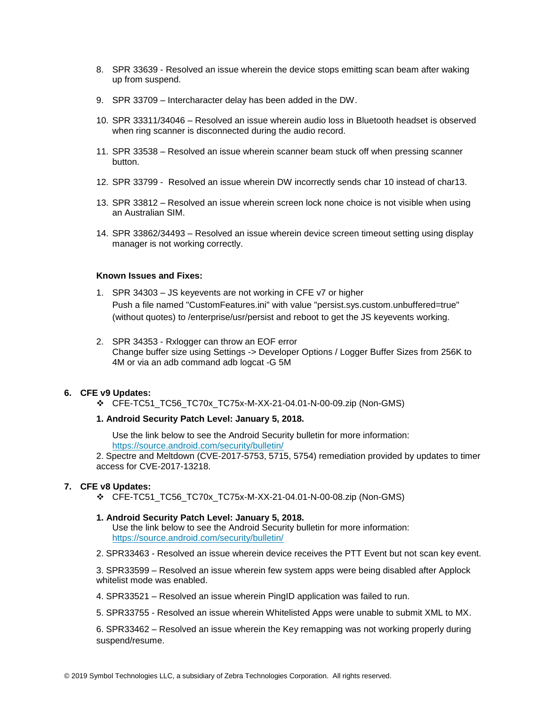- 8. SPR 33639 Resolved an issue wherein the device stops emitting scan beam after waking up from suspend.
- 9. SPR 33709 Intercharacter delay has been added in the DW.
- 10. SPR 33311/34046 Resolved an issue wherein audio loss in Bluetooth headset is observed when ring scanner is disconnected during the audio record.
- 11. SPR 33538 Resolved an issue wherein scanner beam stuck off when pressing scanner button.
- 12. SPR 33799 Resolved an issue wherein DW incorrectly sends char 10 instead of char13.
- 13. SPR 33812 Resolved an issue wherein screen lock none choice is not visible when using an Australian SIM.
- 14. SPR 33862/34493 Resolved an issue wherein device screen timeout setting using display manager is not working correctly.

#### **Known Issues and Fixes:**

- 1. SPR 34303 JS keyevents are not working in CFE v7 or higher Push a file named "CustomFeatures.ini" with value "persist.sys.custom.unbuffered=true" (without quotes) to /enterprise/usr/persist and reboot to get the JS keyevents working.
- 2. SPR 34353 Rxlogger can throw an EOF error Change buffer size using Settings -> Developer Options / Logger Buffer Sizes from 256K to 4M or via an adb command adb logcat -G 5M

#### **6. CFE v9 Updates:**

❖ CFE-TC51\_TC56\_TC70x\_TC75x-M-XX-21-04.01-N-00-09.zip (Non-GMS)

#### **1. Android Security Patch Level: January 5, 2018.**

Use the link below to see the Android Security bulletin for more information: <https://source.android.com/security/bulletin/>

2. Spectre and Meltdown (CVE-2017-5753, 5715, 5754) remediation provided by updates to timer access for CVE-2017-13218.

#### **7. CFE v8 Updates:**

❖ CFE-TC51\_TC56\_TC70x\_TC75x-M-XX-21-04.01-N-00-08.zip (Non-GMS)

#### **1. Android Security Patch Level: January 5, 2018.**

Use the link below to see the Android Security bulletin for more information: <https://source.android.com/security/bulletin/>

2. SPR33463 - Resolved an issue wherein device receives the PTT Event but not scan key event.

3. SPR33599 – Resolved an issue wherein few system apps were being disabled after Applock whitelist mode was enabled.

4. SPR33521 – Resolved an issue wherein PingID application was failed to run.

5. SPR33755 - Resolved an issue wherein Whitelisted Apps were unable to submit XML to MX.

6. SPR33462 – Resolved an issue wherein the Key remapping was not working properly during suspend/resume.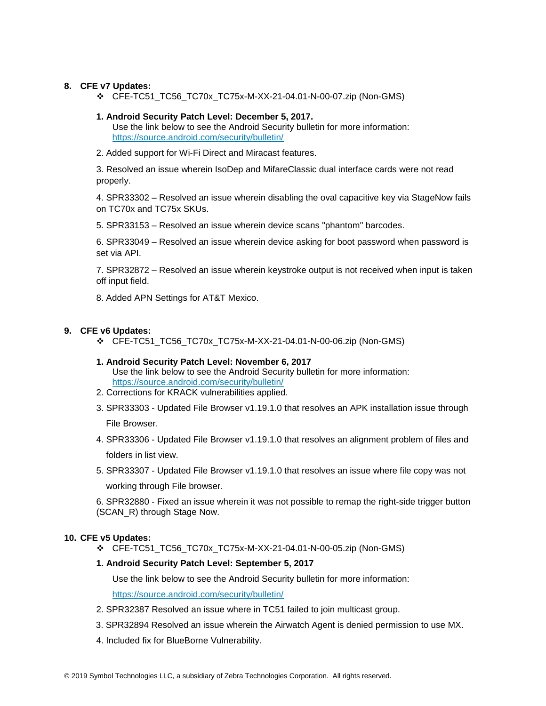#### **8. CFE v7 Updates:**

❖ CFE-TC51\_TC56\_TC70x\_TC75x-M-XX-21-04.01-N-00-07.zip (Non-GMS)

#### **1. Android Security Patch Level: December 5, 2017.**

Use the link below to see the Android Security bulletin for more information: <https://source.android.com/security/bulletin/>

2. Added support for Wi-Fi Direct and Miracast features.

3. Resolved an issue wherein IsoDep and MifareClassic dual interface cards were not read properly.

4. SPR33302 – Resolved an issue wherein disabling the oval capacitive key via StageNow fails on TC70x and TC75x SKUs.

5. SPR33153 – Resolved an issue wherein device scans "phantom" barcodes.

6. SPR33049 – Resolved an issue wherein device asking for boot password when password is set via API.

7. SPR32872 – Resolved an issue wherein keystroke output is not received when input is taken off input field.

8. Added APN Settings for AT&T Mexico.

#### **9. CFE v6 Updates:**

❖ CFE-TC51\_TC56\_TC70x\_TC75x-M-XX-21-04.01-N-00-06.zip (Non-GMS)

#### **1. Android Security Patch Level: November 6, 2017**

Use the link below to see the Android Security bulletin for more information: <https://source.android.com/security/bulletin/>

- 2. Corrections for KRACK vulnerabilities applied.
- 3. SPR33303 Updated File Browser v1.19.1.0 that resolves an APK installation issue through File Browser.

4. SPR33306 - Updated File Browser v1.19.1.0 that resolves an alignment problem of files and folders in list view.

5. SPR33307 - Updated File Browser v1.19.1.0 that resolves an issue where file copy was not working through File browser.

6. SPR32880 - Fixed an issue wherein it was not possible to remap the right-side trigger button (SCAN\_R) through Stage Now.

#### **10. CFE v5 Updates:**

❖ CFE-TC51\_TC56\_TC70x\_TC75x-M-XX-21-04.01-N-00-05.zip (Non-GMS)

#### **1. Android Security Patch Level: September 5, 2017**

Use the link below to see the Android Security bulletin for more information: <https://source.android.com/security/bulletin/>

- 2. SPR32387 Resolved an issue where in TC51 failed to join multicast group.
- 3. SPR32894 Resolved an issue wherein the Airwatch Agent is denied permission to use MX.
- 4. Included fix for BlueBorne Vulnerability.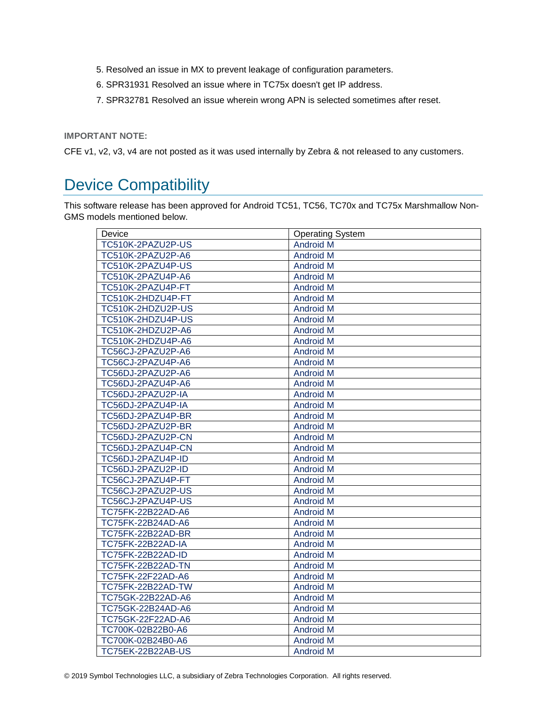- 5. Resolved an issue in MX to prevent leakage of configuration parameters.
- 6. SPR31931 Resolved an issue where in TC75x doesn't get IP address.
- 7. SPR32781 Resolved an issue wherein wrong APN is selected sometimes after reset.

**IMPORTANT NOTE:**

CFE v1, v2, v3, v4 are not posted as it was used internally by Zebra & not released to any customers.

### <span id="page-8-0"></span>Device Compatibility

This software release has been approved for Android TC51, TC56, TC70x and TC75x Marshmallow Non-GMS models mentioned below.

| Device                   | <b>Operating System</b> |
|--------------------------|-------------------------|
| TC510K-2PAZU2P-US        | <b>Android M</b>        |
| TC510K-2PAZU2P-A6        | <b>Android M</b>        |
| TC510K-2PAZU4P-US        | <b>Android M</b>        |
| TC510K-2PAZU4P-A6        | <b>Android M</b>        |
| TC510K-2PAZU4P-FT        | <b>Android M</b>        |
| TC510K-2HDZU4P-FT        | <b>Android M</b>        |
| TC510K-2HDZU2P-US        | <b>Android M</b>        |
| TC510K-2HDZU4P-US        | <b>Android M</b>        |
| TC510K-2HDZU2P-A6        | <b>Android M</b>        |
| TC510K-2HDZU4P-A6        | <b>Android M</b>        |
| TC56CJ-2PAZU2P-A6        | <b>Android M</b>        |
| TC56CJ-2PAZU4P-A6        | Android M               |
| TC56DJ-2PAZU2P-A6        | <b>Android M</b>        |
| TC56DJ-2PAZU4P-A6        | <b>Android M</b>        |
| TC56DJ-2PAZU2P-IA        | <b>Android M</b>        |
| TC56DJ-2PAZU4P-IA        | <b>Android M</b>        |
| TC56DJ-2PAZU4P-BR        | <b>Android M</b>        |
| TC56DJ-2PAZU2P-BR        | <b>Android M</b>        |
| TC56DJ-2PAZU2P-CN        | <b>Android M</b>        |
| TC56DJ-2PAZU4P-CN        | <b>Android M</b>        |
| TC56DJ-2PAZU4P-ID        | <b>Android M</b>        |
| TC56DJ-2PAZU2P-ID        | <b>Android M</b>        |
| TC56CJ-2PAZU4P-FT        | <b>Android M</b>        |
| TC56CJ-2PAZU2P-US        | <b>Android M</b>        |
| TC56CJ-2PAZU4P-US        | <b>Android M</b>        |
| TC75FK-22B22AD-A6        | <b>Android M</b>        |
| TC75FK-22B24AD-A6        | <b>Android M</b>        |
| <b>TC75FK-22B22AD-BR</b> | <b>Android M</b>        |
| <b>TC75FK-22B22AD-IA</b> | <b>Android M</b>        |
| TC75FK-22B22AD-ID        | <b>Android M</b>        |
| <b>TC75FK-22B22AD-TN</b> | <b>Android M</b>        |
| TC75FK-22F22AD-A6        | <b>Android M</b>        |
| <b>TC75FK-22B22AD-TW</b> | <b>Android M</b>        |
| TC75GK-22B22AD-A6        | <b>Android M</b>        |
| TC75GK-22B24AD-A6        | <b>Android M</b>        |
| TC75GK-22F22AD-A6        | <b>Android M</b>        |
| TC700K-02B22B0-A6        | <b>Android M</b>        |
| TC700K-02B24B0-A6        | <b>Android M</b>        |
| TC75EK-22B22AB-US        | <b>Android M</b>        |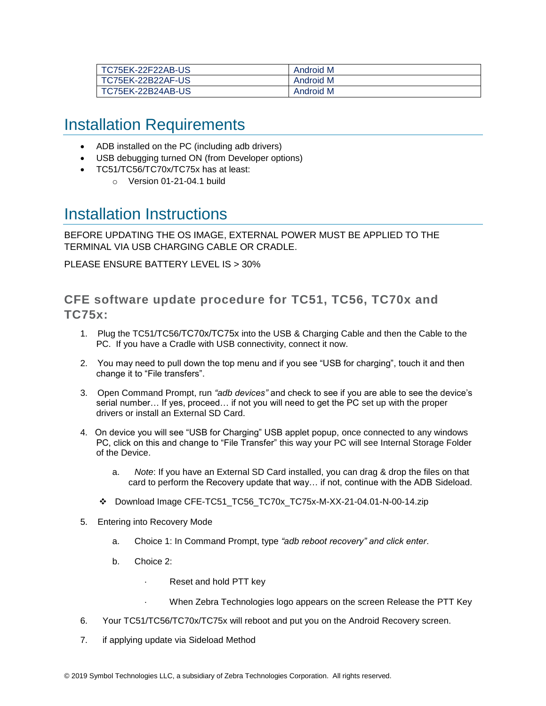| TC75EK-22F22AB-US        | Android M |
|--------------------------|-----------|
| <b>TC75EK-22B22AF-US</b> | Android M |
| TC75EK-22B24AB-US        | Android M |

### <span id="page-9-0"></span>Installation Requirements

- ADB installed on the PC (including adb drivers)
- USB debugging turned ON (from Developer options)
- TC51/TC56/TC70x/TC75x has at least:
	- o Version 01-21-04.1 build

### <span id="page-9-1"></span>Installation Instructions

BEFORE UPDATING THE OS IMAGE, EXTERNAL POWER MUST BE APPLIED TO THE TERMINAL VIA USB CHARGING CABLE OR CRADLE.

PLEASE ENSURE BATTERY LEVEL IS > 30%

**CFE software update procedure for TC51, TC56, TC70x and TC75x:**

- 1. Plug the TC51/TC56/TC70x/TC75x into the USB & Charging Cable and then the Cable to the PC. If you have a Cradle with USB connectivity, connect it now.
- 2. You may need to pull down the top menu and if you see "USB for charging", touch it and then change it to "File transfers".
- 3. Open Command Prompt, run *"adb devices"* and check to see if you are able to see the device's serial number… If yes, proceed… if not you will need to get the PC set up with the proper drivers or install an External SD Card.
- 4. On device you will see "USB for Charging" USB applet popup, once connected to any windows PC, click on this and change to "File Transfer" this way your PC will see Internal Storage Folder of the Device.
	- a. *Note*: If you have an External SD Card installed, you can drag & drop the files on that card to perform the Recovery update that way… if not, continue with the ADB Sideload.
	- ❖ Download Image CFE-TC51\_TC56\_TC70x\_TC75x-M-XX-21-04.01-N-00-14.zip
- 5. Entering into Recovery Mode
	- a. Choice 1: In Command Prompt, type *"adb reboot recovery" and click enter*.
	- b. Choice 2:
		- Reset and hold PTT key
		- When Zebra Technologies logo appears on the screen Release the PTT Key
- 6. Your TC51/TC56/TC70x/TC75x will reboot and put you on the Android Recovery screen.
- 7. if applying update via Sideload Method